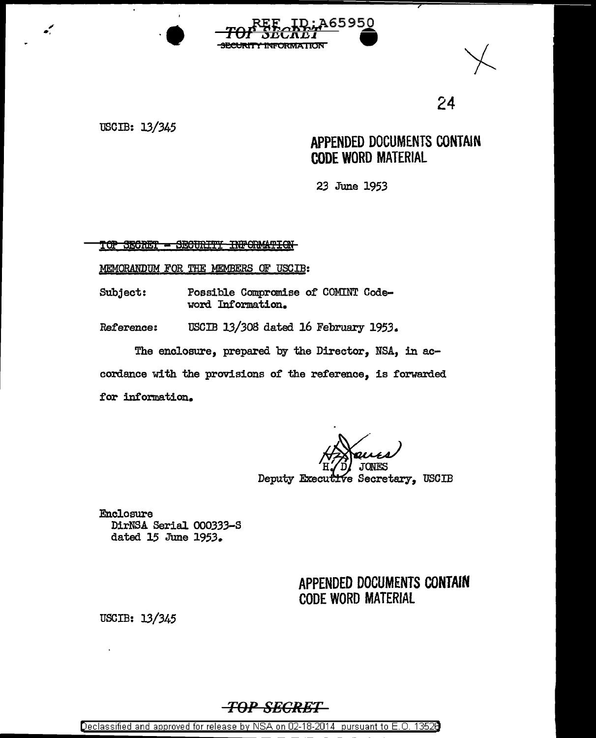





USCIB: 13/345

## APPENDED DOCUMENTS CONTAIN **CODE WORD MATERIAL**

23 June 1953

TOP SECRET - SECURITY INFORMATION

MEMORANDUM FOR THE MEMBERS OF USCIB:

Possible Compromise of COMINT Code-Subject: word Information.

USCIB 13/308 dated 16 February 1953. Reference:

The enclosure, prepared by the Director, NSA, in accordance with the provisions of the reference, is forwarded for information.

Deputy Executive Secretary, USCIB

**Enclosure** DirNSA Serial 000333-S dated 15 June 1953.

> APPENDED DOCUMENTS CONTAIN **CODE WORD MATERIAL**

USCIB: 13/345

## -<del>TOP SECRET-</del>

Declassified and approved for release by NSA on 02-18-2014 pursuant to E.O. 13526